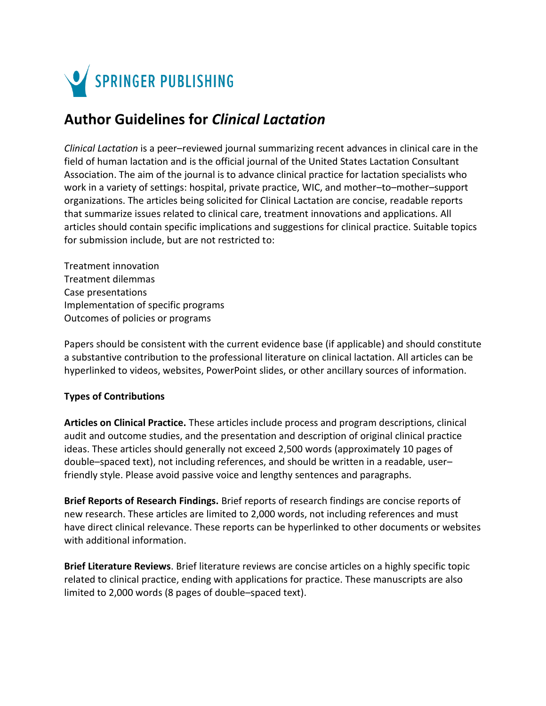

## **Author Guidelines for** *Clinical Lactation*

*Clinical Lactation* is a peer–reviewed journal summarizing recent advances in clinical care in the field of human lactation and is the official journal of the United States Lactation Consultant Association. The aim of the journal is to advance clinical practice for lactation specialists who work in a variety of settings: hospital, private practice, WIC, and mother–to–mother–support organizations. The articles being solicited for Clinical Lactation are concise, readable reports that summarize issues related to clinical care, treatment innovations and applications. All articles should contain specific implications and suggestions for clinical practice. Suitable topics for submission include, but are not restricted to:

Treatment innovation Treatment dilemmas Case presentations Implementation of specific programs Outcomes of policies or programs

Papers should be consistent with the current evidence base (if applicable) and should constitute a substantive contribution to the professional literature on clinical lactation. All articles can be hyperlinked to videos, websites, PowerPoint slides, or other ancillary sources of information.

## **Types of Contributions**

**Articles on Clinical Practice.** These articles include process and program descriptions, clinical audit and outcome studies, and the presentation and description of original clinical practice ideas. These articles should generally not exceed 2,500 words (approximately 10 pages of double–spaced text), not including references, and should be written in a readable, user– friendly style. Please avoid passive voice and lengthy sentences and paragraphs.

**Brief Reports of Research Findings.** Brief reports of research findings are concise reports of new research. These articles are limited to 2,000 words, not including references and must have direct clinical relevance. These reports can be hyperlinked to other documents or websites with additional information.

**Brief Literature Reviews**. Brief literature reviews are concise articles on a highly specific topic related to clinical practice, ending with applications for practice. These manuscripts are also limited to 2,000 words (8 pages of double–spaced text).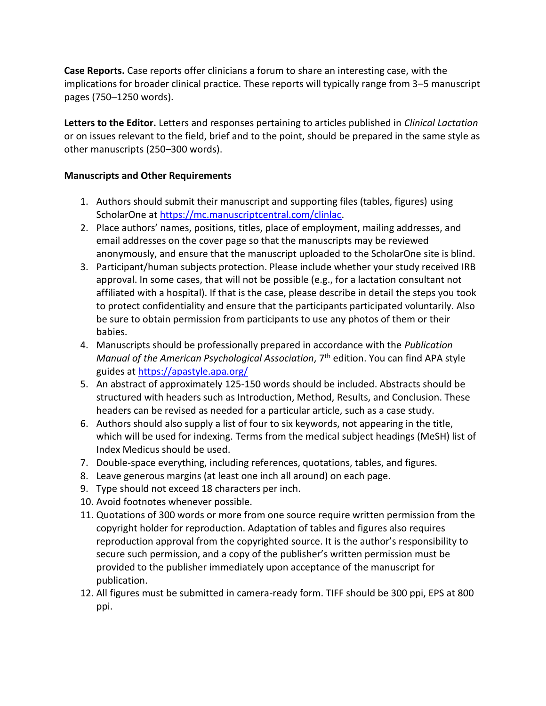**Case Reports.** Case reports offer clinicians a forum to share an interesting case, with the implications for broader clinical practice. These reports will typically range from 3–5 manuscript pages (750–1250 words).

**Letters to the Editor.** Letters and responses pertaining to articles published in *Clinical Lactation* or on issues relevant to the field, brief and to the point, should be prepared in the same style as other manuscripts (250–300 words).

## **Manuscripts and Other Requirements**

- 1. Authors should submit their manuscript and supporting files (tables, figures) using ScholarOne at [https://mc.manuscriptcentral.com/clinlac.](https://mc.manuscriptcentral.com/clinlac)
- 2. Place authors' names, positions, titles, place of employment, mailing addresses, and email addresses on the cover page so that the manuscripts may be reviewed anonymously, and ensure that the manuscript uploaded to the ScholarOne site is blind.
- 3. Participant/human subjects protection. Please include whether your study received IRB approval. In some cases, that will not be possible (e.g., for a lactation consultant not affiliated with a hospital). If that is the case, please describe in detail the steps you took to protect confidentiality and ensure that the participants participated voluntarily. Also be sure to obtain permission from participants to use any photos of them or their babies.
- 4. Manuscripts should be professionally prepared in accordance with the *Publication Manual of the American Psychological Association*, 7 th edition. You can find APA style guides at<https://apastyle.apa.org/>
- 5. An abstract of approximately 125-150 words should be included. Abstracts should be structured with headers such as Introduction, Method, Results, and Conclusion. These headers can be revised as needed for a particular article, such as a case study.
- 6. Authors should also supply a list of four to six keywords, not appearing in the title, which will be used for indexing. Terms from the medical subject headings (MeSH) list of Index Medicus should be used.
- 7. Double-space everything, including references, quotations, tables, and figures.
- 8. Leave generous margins (at least one inch all around) on each page.
- 9. Type should not exceed 18 characters per inch.
- 10. Avoid footnotes whenever possible.
- 11. Quotations of 300 words or more from one source require written permission from the copyright holder for reproduction. Adaptation of tables and figures also requires reproduction approval from the copyrighted source. It is the author's responsibility to secure such permission, and a copy of the publisher's written permission must be provided to the publisher immediately upon acceptance of the manuscript for publication.
- 12. All figures must be submitted in camera-ready form. TIFF should be 300 ppi, EPS at 800 ppi.